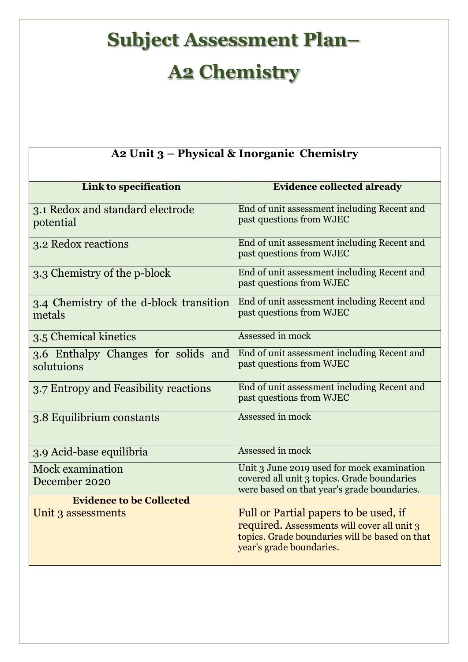## **Subject Assessment Plan– A2 Chemistry**

| A2 Unit 3 - Physical & Inorganic Chemistry        |                                                                                                                                                                    |  |
|---------------------------------------------------|--------------------------------------------------------------------------------------------------------------------------------------------------------------------|--|
| Link to specification                             | <b>Evidence collected already</b>                                                                                                                                  |  |
| 3.1 Redox and standard electrode<br>potential     | End of unit assessment including Recent and<br>past questions from WJEC                                                                                            |  |
| 3.2 Redox reactions                               | End of unit assessment including Recent and<br>past questions from WJEC                                                                                            |  |
| 3.3 Chemistry of the p-block                      | End of unit assessment including Recent and<br>past questions from WJEC                                                                                            |  |
| 3.4 Chemistry of the d-block transition<br>metals | End of unit assessment including Recent and<br>past questions from WJEC                                                                                            |  |
| 3.5 Chemical kinetics                             | Assessed in mock                                                                                                                                                   |  |
| 3.6 Enthalpy Changes for solids and<br>solutuions | End of unit assessment including Recent and<br>past questions from WJEC                                                                                            |  |
| 3.7 Entropy and Feasibility reactions             | End of unit assessment including Recent and<br>past questions from WJEC                                                                                            |  |
| 3.8 Equilibrium constants                         | Assessed in mock                                                                                                                                                   |  |
| 3.9 Acid-base equilibria                          | Assessed in mock                                                                                                                                                   |  |
| <b>Mock examination</b><br>December 2020          | Unit 3 June 2019 used for mock examination<br>covered all unit 3 topics. Grade boundaries<br>were based on that year's grade boundaries.                           |  |
| <b>Evidence to be Collected</b>                   |                                                                                                                                                                    |  |
| Unit 3 assessments                                | Full or Partial papers to be used, if<br>required. Assessments will cover all unit 3<br>topics. Grade boundaries will be based on that<br>year's grade boundaries. |  |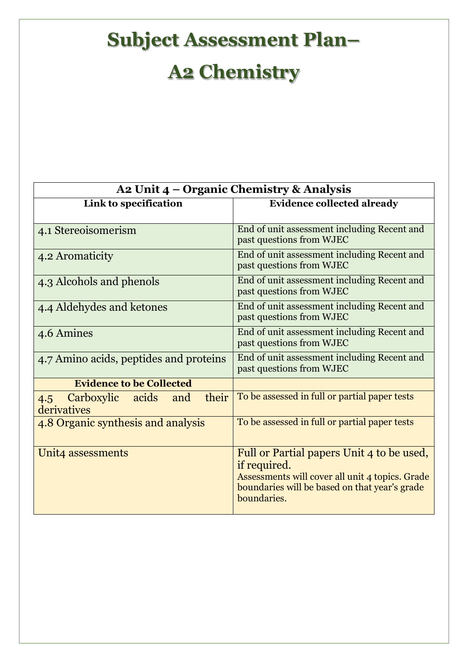## **Subject Assessment Plan– A2 Chemistry**

| A2 Unit 4 – Organic Chemistry & Analysis                  |                                                                                                                                                                              |
|-----------------------------------------------------------|------------------------------------------------------------------------------------------------------------------------------------------------------------------------------|
| Link to specification                                     | <b>Evidence collected already</b>                                                                                                                                            |
| 4.1 Stereoisomerism                                       | End of unit assessment including Recent and<br>past questions from WJEC                                                                                                      |
| 4.2 Aromaticity                                           | End of unit assessment including Recent and<br>past questions from WJEC                                                                                                      |
| 4.3 Alcohols and phenols                                  | End of unit assessment including Recent and<br>past questions from WJEC                                                                                                      |
| 4.4 Aldehydes and ketones                                 | End of unit assessment including Recent and<br>past questions from WJEC                                                                                                      |
| 4.6 Amines                                                | End of unit assessment including Recent and<br>past questions from WJEC                                                                                                      |
| 4.7 Amino acids, peptides and proteins                    | End of unit assessment including Recent and<br>past questions from WJEC                                                                                                      |
| <b>Evidence to be Collected</b>                           |                                                                                                                                                                              |
| their<br>Carboxylic<br>acids<br>and<br>4.5<br>derivatives | To be assessed in full or partial paper tests                                                                                                                                |
| 4.8 Organic synthesis and analysis                        | To be assessed in full or partial paper tests                                                                                                                                |
| Unit4 assessments                                         | Full or Partial papers Unit 4 to be used,<br>if required.<br>Assessments will cover all unit 4 topics. Grade<br>boundaries will be based on that year's grade<br>boundaries. |